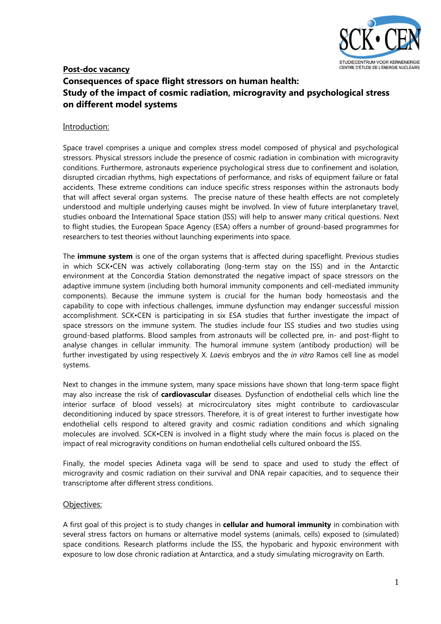

# **Post-doc vacancy Consequences of space flight stressors on human health: Study of the impact of cosmic radiation, microgravity and psychological stress on different model systems**

### Introduction:

Space travel comprises a unique and complex stress model composed of physical and psychological stressors. Physical stressors include the presence of cosmic radiation in combination with microgravity conditions. Furthermore, astronauts experience psychological stress due to confinement and isolation, disrupted circadian rhythms, high expectations of performance, and risks of equipment failure or fatal accidents. These extreme conditions can induce specific stress responses within the astronauts body that will affect several organ systems. The precise nature of these health effects are not completely understood and multiple underlying causes might be involved. In view of future interplanetary travel, studies onboard the International Space station (ISS) will help to answer many critical questions. Next to flight studies, the European Space Agency (ESA) offers a number of ground-based programmes for researchers to test theories without launching experiments into space.

The **immune system** is one of the organ systems that is affected during spaceflight. Previous studies in which SCK•CEN was actively collaborating (long-term stay on the ISS) and in the Antarctic environment at the Concordia Station demonstrated the negative impact of space stressors on the adaptive immune system (including both humoral immunity components and cell-mediated immunity components). Because the immune system is crucial for the human body homeostasis and the capability to cope with infectious challenges, immune dysfunction may endanger successful mission accomplishment. SCK•CEN is participating in six ESA studies that further investigate the impact of space stressors on the immune system. The studies include four ISS studies and two studies using ground-based platforms. Blood samples from astronauts will be collected pre, in- and post-flight to analyse changes in cellular immunity. The humoral immune system (antibody production) will be further investigated by using respectively X. *Laevis* embryos and the *in vitro* Ramos cell line as model systems.

Next to changes in the immune system, many space missions have shown that long-term space flight may also increase the risk of **cardiovascular** diseases. Dysfunction of endothelial cells which line the interior surface of blood vessels) at microcirculatory sites might contribute to cardiovascular deconditioning induced by space stressors. Therefore, it is of great interest to further investigate how endothelial cells respond to altered gravity and cosmic radiation conditions and which signaling molecules are involved. SCK•CEN is involved in a flight study where the main focus is placed on the impact of real microgravity conditions on human endothelial cells cultured onboard the ISS.

Finally, the model species Adineta vaga will be send to space and used to study the effect of microgravity and cosmic radiation on their survival and DNA repair capacities, and to sequence their transcriptome after different stress conditions.

#### Objectives:

A first goal of this project is to study changes in **cellular and humoral immunity** in combination with several stress factors on humans or alternative model systems (animals, cells) exposed to (simulated) space conditions. Research platforms include the ISS, the hypobaric and hypoxic environment with exposure to low dose chronic radiation at Antarctica, and a study simulating microgravity on Earth.